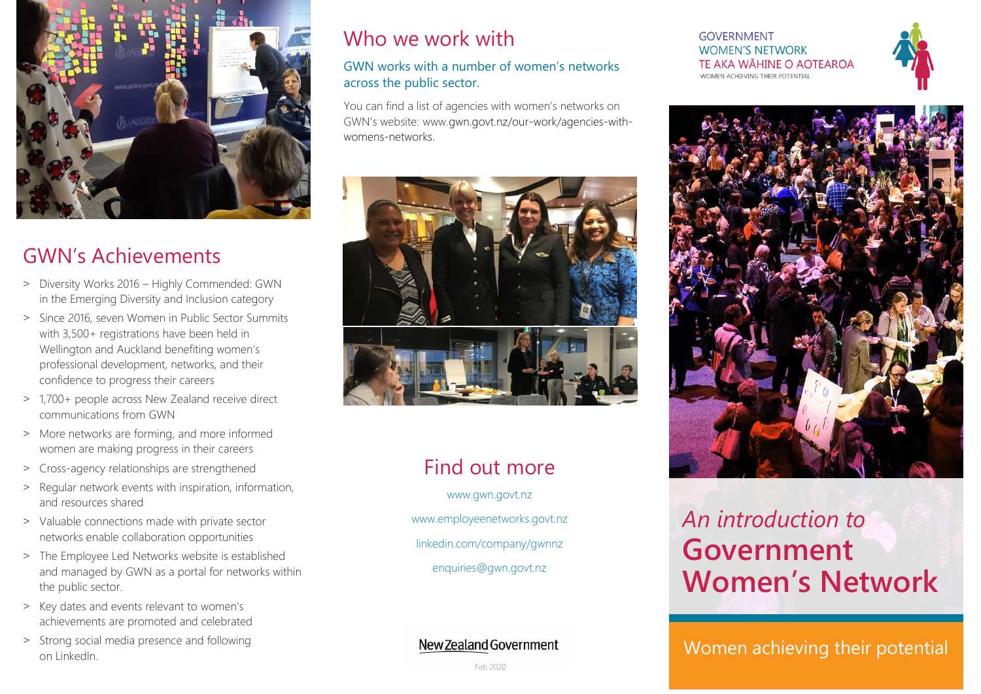

## GWN's Achievements

- ˃ Diversity Works 2016 Highly Commended: GWN in the Emerging Diversity and Inclusion category
- > Since 2016, seven Women in Public Sector Summits with 3,500+ registrations have been held in Wellington and Auckland benefiting women's professional development, networks, and their confidence to progress their careers
- ˃ 1,700+ people across New Zealand receive direct communications from GWN
- > More networks are forming, and more informed women are making progress in their careers
- > Cross-agency relationships are strengthened
- > Regular network events with inspiration, information, and resources shared
- ˃ Valuable connections made with private sector networks enable collaboration opportunities
- > The Employee Led Networks website is established and managed by GWN as a portal for networks within the public sector.
- > Key dates and events relevant to women's achievements are promoted and celebrated
- ˃ Strong social media presence and following

## Who we work with

#### GWN works with a number of women's networks across the public sector.

You can find a list of agencies with women's networks on GWN's website: www.gwn.govt.nz/our-work/agencies-withwomens-networks.



# Find out more

[www.gwn.govt.nz](http://www.gwn.govt.nz/) www.employeenetworks.govt.nz linkedin.com/company/gwnnz [enquiries@gwn.govt.nz](mailto:enquiries@gwn.govt.nz)

**GOVFRNMENT WOMEN'S NETWORK** TE AKA WĀHĪNE O AOTEAROA WOMEN ACHIEVING THEIR POTENTIAL





# *An introduction to* **Government Women's Network**

Strong social media presence and following **Strong Strong School and Their potential** con LinkedIn